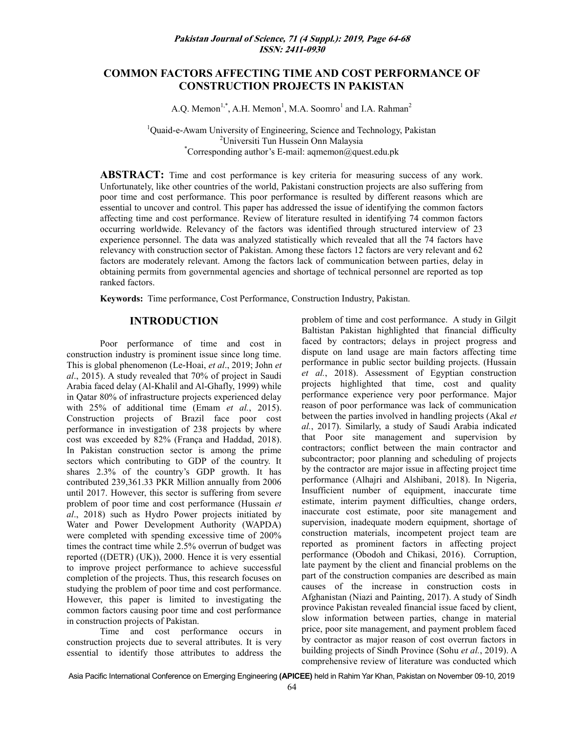# **COMMON FACTORS AFFECTING TIME AND COST PERFORMANCE OF CONSTRUCTION PROJECTS IN PAKISTAN**

A.Q. Memon<sup>1,\*</sup>, A.H. Memon<sup>1</sup>, M.A. Soomro<sup>1</sup> and I.A. Rahman<sup>2</sup>

<sup>1</sup>Quaid-e-Awam University of Engineering, Science and Technology, Pakistan <sup>2</sup>Universiti Tun Hussein Onn Malaysia \*Corresponding author's E-mail: aqmemon@quest.edu.pk

**ABSTRACT:** Time and cost performance is key criteria for measuring success of any work. Unfortunately, like other countries of the world, Pakistani construction projects are also suffering from poor time and cost performance. This poor performance is resulted by different reasons which are essential to uncover and control. This paper has addressed the issue of identifying the common factors affecting time and cost performance. Review of literature resulted in identifying 74 common factors occurring worldwide. Relevancy of the factors was identified through structured interview of 23 experience personnel. The data was analyzed statistically which revealed that all the 74 factors have relevancy with construction sector of Pakistan. Among these factors 12 factors are very relevant and 62 factors are moderately relevant. Among the factors lack of communication between parties, delay in obtaining permits from governmental agencies and shortage of technical personnel are reported as top ranked factors.

**Keywords:** Time performance, Cost Performance, Construction Industry, Pakistan.

#### **INTRODUCTION**

Poor performance of time and cost in construction industry is prominent issue since long time. This is global phenomenon (Le-Hoai, *et al*., 2019; John *et al*., 2015). A study revealed that 70% of project in Saudi Arabia faced delay (Al-Khalil and Al-Ghafly, 1999) while in Qatar 80% of infrastructure projects experienced delay with 25% of additional time (Emam *et al.*, 2015). Construction projects of Brazil face poor cost performance in investigation of 238 projects by where cost was exceeded by 82% (França and Haddad, 2018). In Pakistan construction sector is among the prime sectors which contributing to GDP of the country. It shares 2.3% of the country's GDP growth. It has contributed 239,361.33 PKR Million annually from 2006 until 2017. However, this sector is suffering from severe problem of poor time and cost performance (Hussain *et al*., 2018) such as Hydro Power projects initiated by Water and Power Development Authority (WAPDA) were completed with spending excessive time of 200% times the contract time while 2.5% overrun of budget was reported ((DETR) (UK)), 2000. Hence it is very essential to improve project performance to achieve successful completion of the projects. Thus, this research focuses on studying the problem of poor time and cost performance. However, this paper is limited to investigating the common factors causing poor time and cost performance in construction projects of Pakistan.

Time and cost performance occurs in construction projects due to several attributes. It is very essential to identify those attributes to address the

problem of time and cost performance. A study in Gilgit Baltistan Pakistan highlighted that financial difficulty faced by contractors; delays in project progress and dispute on land usage are main factors affecting time performance in public sector building projects. (Hussain *et al.*, 2018). Assessment of Egyptian construction projects highlighted that time, cost and quality performance experience very poor performance. Major reason of poor performance was lack of communication between the parties involved in handling projects (Akal *et al.*, 2017). Similarly, a study of Saudi Arabia indicated that Poor site management and supervision by contractors; conflict between the main contractor and subcontractor; poor planning and scheduling of projects by the contractor are major issue in affecting project time performance (Alhajri and Alshibani, 2018). In Nigeria, Insufficient number of equipment, inaccurate time estimate, interim payment difficulties, change orders, inaccurate cost estimate, poor site management and supervision, inadequate modern equipment, shortage of construction materials, incompetent project team are reported as prominent factors in affecting project performance (Obodoh and Chikasi, 2016). Corruption, late payment by the client and financial problems on the part of the construction companies are described as main causes of the increase in construction costs in Afghanistan (Niazi and Painting, 2017). A study of Sindh province Pakistan revealed financial issue faced by client, slow information between parties, change in material price, poor site management, and payment problem faced by contractor as major reason of cost overrun factors in building projects of Sindh Province (Sohu *et al.*, 2019). A comprehensive review of literature was conducted which

Asia Pacific International Conference on Emerging Engineering **(APICEE)** held in Rahim Yar Khan, Pakistan on November 09-10, 2019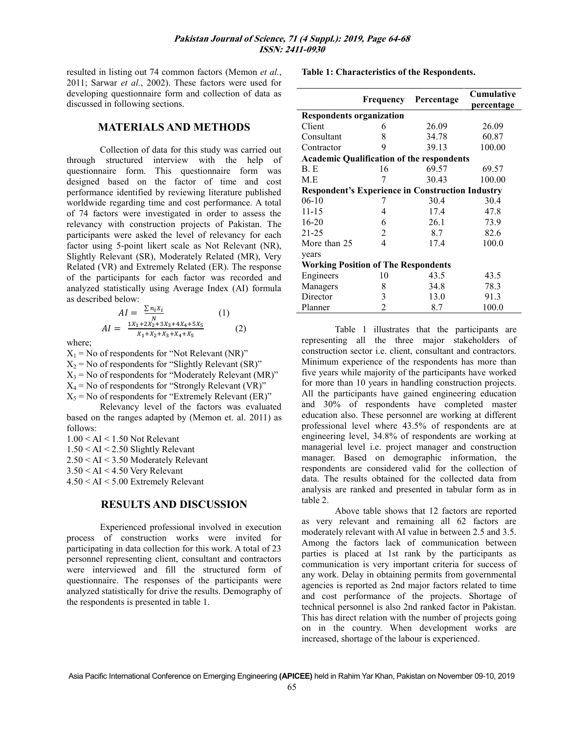resulted in listing out 74 common factors (Memon *et al.*, 2011; Sarwar *et al.*, 2002). These factors were used for developing questionnaire form and collection of data as discussed in following sections.

#### **MATERIALS AND METHODS**

Collection of data for this study was carried out through structured interview with the help of questionnaire form. This questionnaire form was designed based on the factor of time and cost performance identified by reviewing literature published worldwide regarding time and cost performance. A total of 74 factors were investigated in order to assess the relevancy with construction projects of Pakistan. The participants were asked the level of relevancy for each factor using 5-point likert scale as Not Relevant (NR), Slightly Relevant (SR), Moderately Related (MR), Very Related (VR) and Extremely Related (ER). The response of the participants for each factor was recorded and analyzed statistically using Average Index (AI) formula as described below:

$$
AI = \frac{\sum n_i X_i}{N}
$$
 (1)  

$$
AI = \frac{1X_1 + 2X_2 + 3X_3 + 4X_4 + 5X_5}{X_1 + X_2 + X_3 + X_4 + X_5}
$$
 (2)

where;

 $X_1$  = No of respondents for "Not Relevant (NR)"  $X_2$  = No of respondents for "Slightly Relevant (SR)"  $X_3$  = No of respondents for "Moderately Relevant (MR)"  $X_4$  = No of respondents for "Strongly Relevant (VR)"  $X_5$  = No of respondents for "Extremely Relevant (ER)"

Relevancy level of the factors was evaluated based on the ranges adapted by (Memon et. al. 2011) as follows:

1.00 < AI < 1.50 Not Relevant 1.50 < AI < 2.50 Slightly Relevant 2.50 < AI < 3.50 Moderately Relevant 3.50 < AI < 4.50 Very Relevant 4.50 < AI < 5.00 Extremely Relevant

#### **RESULTS AND DISCUSSION**

Experienced professional involved in execution process of construction works were invited for participating in data collection for this work. A total of 23 personnel representing client, consultant and contractors were interviewed and fill the structured form of questionnaire. The responses of the participants were analyzed statistically for drive the results. Demography of the respondents is presented in table 1.

**Table 1: Characteristics of the Respondents.**

|                                                         |                | <b>Frequency Percentage</b> | <b>Cumulative</b><br>percentage |  |  |  |  |  |  |
|---------------------------------------------------------|----------------|-----------------------------|---------------------------------|--|--|--|--|--|--|
| <b>Respondents organization</b>                         |                |                             |                                 |  |  |  |  |  |  |
| Client                                                  | 6              | 26.09                       | 26.09                           |  |  |  |  |  |  |
| Consultant                                              | 8              | 34.78                       | 60.87                           |  |  |  |  |  |  |
| Contractor                                              | 9              | 39.13                       | 100.00                          |  |  |  |  |  |  |
| <b>Academic Qualification of the respondents</b>        |                |                             |                                 |  |  |  |  |  |  |
| B. E                                                    | 16             | 69.57                       | 69.57                           |  |  |  |  |  |  |
| M.E                                                     | 7              | 30.43                       | 100.00                          |  |  |  |  |  |  |
| <b>Respondent's Experience in Construction Industry</b> |                |                             |                                 |  |  |  |  |  |  |
| $06-10$                                                 |                | 30.4                        | 30.4                            |  |  |  |  |  |  |
| $11 - 15$                                               | 4              | 17.4                        | 47.8                            |  |  |  |  |  |  |
| $16 - 20$                                               | 6              | 26.1                        | 73.9                            |  |  |  |  |  |  |
| 21-25                                                   | 2              | 8.7                         | 82.6                            |  |  |  |  |  |  |
| More than 25                                            | 4              | 17.4                        | 100.0                           |  |  |  |  |  |  |
| years                                                   |                |                             |                                 |  |  |  |  |  |  |
| <b>Working Position of The Respondents</b>              |                |                             |                                 |  |  |  |  |  |  |
| Engineers                                               | 10             | 43.5                        | 43.5                            |  |  |  |  |  |  |
| Managers                                                | 8              | 34.8                        | 78.3                            |  |  |  |  |  |  |
| Director                                                | 3              | 13.0                        | 91.3                            |  |  |  |  |  |  |
| Planner                                                 | $\overline{2}$ | 8.7                         | 100.0                           |  |  |  |  |  |  |

Table 1 illustrates that the participants are representing all the three major stakeholders of construction sector i.e. client, consultant and contractors. Minimum experience of the respondents has more than five years while majority of the participants have worked for more than 10 years in handling construction projects. All the participants have gained engineering education and 30% of respondents have completed master education also. These personnel are working at different professional level where 43.5% of respondents are at engineering level, 34.8% of respondents are working at managerial level i.e. project manager and construction manager. Based on demographic information, the respondents are considered valid for the collection of data. The results obtained for the collected data from analysis are ranked and presented in tabular form as in table 2.

Above table shows that 12 factors are reported as very relevant and remaining all 62 factors are moderately relevant with AI value in between 2.5 and 3.5. Among the factors lack of communication between parties is placed at 1st rank by the participants as communication is very important criteria for success of any work. Delay in obtaining permits from governmental agencies is reported as 2nd major factors related to time and cost performance of the projects. Shortage of technical personnel is also 2nd ranked factor in Pakistan. This has direct relation with the number of projects going on in the country. When development works are increased, shortage of the labour is experienced.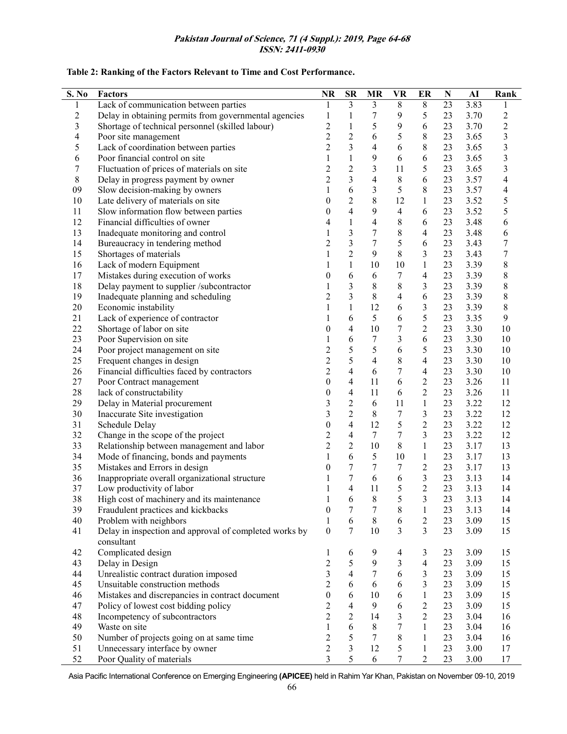#### **Pakistan Journal of Science, 71 (4 Suppl.): 2019, Page 64-68 ISSN: 2411-0930**

### **Table 2: Ranking of the Factors Relevant to Time and Cost Performance.**

| S. No            | <b>Factors</b>                                                       | <b>NR</b>               | $S_{\rm R}$              | $\bf{MR}$                | <b>VR</b>        | ER                       | $\mathbf N$ | ${\bf AI}$ | Rank                    |
|------------------|----------------------------------------------------------------------|-------------------------|--------------------------|--------------------------|------------------|--------------------------|-------------|------------|-------------------------|
| $\mathbf{1}$     | Lack of communication between parties                                | 1                       | $\overline{3}$           | $\overline{3}$           | $8\,$            | $8\,$                    | 23          | 3.83       | 1                       |
| $\boldsymbol{2}$ | Delay in obtaining permits from governmental agencies                | $\mathbf{1}$            | 1                        | 7                        | 9                | 5                        | 23          | 3.70       | $\overline{c}$          |
| $\mathfrak{Z}$   | Shortage of technical personnel (skilled labour)                     | $\overline{c}$          | $\mathbf{1}$             | 5                        | 9                | 6                        | 23          | 3.70       | $\overline{c}$          |
| $\overline{4}$   | Poor site management                                                 | $\overline{c}$          | $\overline{c}$           | 6                        | 5                | $\,$ $\,$                | 23          | 3.65       | 3                       |
| 5                | Lack of coordination between parties                                 | $\overline{2}$          | $\overline{3}$           | 4                        | 6                | $8\,$                    | 23          | 3.65       | 3                       |
| 6                | Poor financial control on site                                       | 1                       | $\mathbf{1}$             | 9                        | 6                | 6                        | 23          | 3.65       | $\overline{\mathbf{3}}$ |
| 7                | Fluctuation of prices of materials on site                           | $\overline{c}$          | $\overline{c}$           | 3                        | 11               | 5                        | 23          | 3.65       | 3                       |
| $\,$ 8 $\,$      | Delay in progress payment by owner                                   | $\overline{2}$          | $\overline{\mathbf{3}}$  | $\overline{4}$           | $8\,$            | 6                        | 23          | 3.57       | $\overline{4}$          |
| 09               | Slow decision-making by owners                                       | 1                       | 6                        | $\overline{\mathbf{3}}$  | 5                | $8\,$                    | 23          | 3.57       | 4                       |
| 10               | Late delivery of materials on site                                   | $\theta$                | $\overline{c}$           | 8                        | 12               | $\mathbf{1}$             | 23          | 3.52       | 5                       |
| 11               | Slow information flow between parties                                | $\boldsymbol{0}$        | $\overline{4}$           | 9                        | $\overline{4}$   | 6                        | 23          | 3.52       | 5                       |
| 12               | Financial difficulties of owner                                      | 4                       | 1                        | $\overline{\mathcal{A}}$ | $\,$ 8 $\,$      | 6                        | 23          | 3.48       | 6                       |
| 13               | Inadequate monitoring and control                                    | 1                       | 3                        | $\boldsymbol{7}$         | $\,$ 8 $\,$      | $\overline{\mathcal{L}}$ | 23          | 3.48       | 6                       |
| 14               | Bureaucracy in tendering method                                      | $\overline{c}$          | 3                        | $\tau$                   | 5                | 6                        | 23          | 3.43       | $\overline{7}$          |
| 15               | Shortages of materials                                               | 1                       | $\overline{2}$           | 9                        | $8\,$            | 3                        | 23          | 3.43       | 7                       |
| 16               | Lack of modern Equipment                                             | 1                       | $\mathbf{1}$             | 10                       | 10               | $\mathbf{1}$             | 23          | 3.39       | 8                       |
| 17               | Mistakes during execution of works                                   | $\theta$                | 6                        | 6                        | 7                | $\overline{4}$           | 23          | 3.39       | 8                       |
| 18               | Delay payment to supplier /subcontractor                             | 1                       | $\overline{\mathbf{3}}$  | 8                        | $8\,$            | 3                        | 23          | 3.39       | $\,8\,$                 |
| 19               | Inadequate planning and scheduling                                   | $\overline{c}$          | 3                        | 8                        | $\overline{4}$   | 6                        | 23          | 3.39       | $\,8\,$                 |
| $20\,$           | Economic instability                                                 | 1                       | $\mathbf{1}$             | 12                       | 6                | 3                        | 23          | 3.39       | $\,$ 8 $\,$             |
| 21               | Lack of experience of contractor                                     | 1                       | 6                        | 5                        | 6                | 5                        | 23          | 3.35       | $\boldsymbol{9}$        |
| 22               | Shortage of labor on site                                            | $\theta$                | 4                        | 10                       | $\overline{7}$   | $\sqrt{2}$               | 23          | 3.30       | $10\,$                  |
| 23               | Poor Supervision on site                                             | 1                       | 6                        | 7                        | 3                | 6                        | 23          | 3.30       | 10                      |
| 24               | Poor project management on site                                      | $\overline{c}$          | 5                        | 5                        | 6                | 5                        | 23          | 3.30       | 10                      |
| 25               | Frequent changes in design                                           | $\overline{c}$          | 5                        | 4                        | $\,8\,$          | $\overline{4}$           | 23          | 3.30       | 10                      |
| 26               | Financial difficulties faced by contractors                          | $\overline{2}$          | $\overline{\mathbf{4}}$  | 6                        | $\overline{7}$   | $\overline{\mathcal{L}}$ | 23          | 3.30       | 10                      |
| 27               | Poor Contract management                                             | $\boldsymbol{0}$        | 4                        | 11                       | 6                | $\overline{2}$           | 23          | 3.26       | 11                      |
| 28               | lack of constructability                                             | $\boldsymbol{0}$        | $\overline{4}$           | 11                       | 6                | $\overline{2}$           | 23          | 3.26       | 11                      |
| 29               | Delay in Material procurement                                        | $\mathfrak{Z}$          | $\sqrt{2}$               | 6                        | 11               | $\mathbf{1}$             | 23          | 3.22       | 12                      |
| 30               | Inaccurate Site investigation                                        | $\overline{\mathbf{3}}$ | $\overline{c}$           | 8                        | 7                | $\overline{\mathbf{3}}$  | 23          | 3.22       | 12                      |
| 31               | Schedule Delay                                                       | $\boldsymbol{0}$        | $\overline{4}$           | 12                       | 5                | $\overline{c}$           | 23          | 3.22       | 12                      |
| 32               | Change in the scope of the project                                   | $\boldsymbol{2}$        | 4                        | $7\phantom{.}$           | $\overline{7}$   | $\overline{3}$           | 23          | 3.22       | 12                      |
| 33               | Relationship between management and labor                            | $\overline{2}$          | $\overline{2}$           | 10                       | $8\,$            | $\mathbf{1}$             | 23          | 3.17       | 13                      |
| 34               | Mode of financing, bonds and payments                                | 1                       | 6                        | 5                        | 10               | $\mathbf{1}$             | 23          | 3.17       | 13                      |
| 35               | Mistakes and Errors in design                                        | $\theta$                | 7                        | 7                        | $\boldsymbol{7}$ | $\sqrt{2}$               | 23          | 3.17       | 13                      |
| 36               | Inappropriate overall organizational structure                       | 1                       | 7                        | 6                        | $\sqrt{6}$       | $\mathfrak{Z}$           | 23          | 3.13       | 14                      |
| 37               | Low productivity of labor                                            |                         | $\overline{\mathcal{L}}$ | 11                       | 5                | $\overline{2}$           | 23          | 3.13       | 14                      |
| 38               | High cost of machinery and its maintenance                           | 1                       | 6                        | $8\,$                    | 5                | 3                        | 23          | 3.13       | 14                      |
| 39               | Fraudulent practices and kickbacks                                   | $\boldsymbol{0}$        | 7                        | 7                        | $8\,$            | 1                        | 23          | 3.13       | 14                      |
| 40               | Problem with neighbors                                               | 1                       | 6                        | 8                        | 6                | 2                        | 23          | 3.09       | 15                      |
| 41               | Delay in inspection and approval of completed works by<br>consultant | $\theta$                | $\overline{7}$           | 10                       | 3                | $\overline{3}$           | 23          | 3.09       | 15                      |
| 42               | Complicated design                                                   | $\mathbf{1}$            | 6                        | 9                        | $\overline{4}$   | 3                        | 23          | 3.09       | 15                      |
| 43               | Delay in Design                                                      | $\mathbf 2$             | 5                        | 9                        | 3                | $\overline{\mathcal{L}}$ | 23          | 3.09       | 15                      |
| 44               | Unrealistic contract duration imposed                                | 3                       | $\overline{4}$           | $\tau$                   | 6                | 3                        | 23          | 3.09       | 15                      |
| 45               | Unsuitable construction methods                                      | $\overline{2}$          | 6                        | 6                        | 6                | 3                        | 23          | 3.09       | 15                      |
| 46               | Mistakes and discrepancies in contract document                      | $\theta$                | 6                        | 10                       | 6                | $\mathbf{1}$             | 23          | 3.09       | 15                      |
| 47               | Policy of lowest cost bidding policy                                 | $\overline{2}$          | 4                        | 9                        | 6                | $\sqrt{2}$               | 23          | 3.09       | 15                      |
| 48               | Incompetency of subcontractors                                       | $\overline{2}$          | $\sqrt{2}$               | 14                       | 3                | $\overline{2}$           | 23          | 3.04       | 16                      |
| 49               | Waste on site                                                        | 1                       | 6                        | 8                        | 7                | 1                        | 23          | 3.04       | 16                      |
| 50               | Number of projects going on at same time                             | $\overline{2}$          | 5                        | $\tau$                   | 8                | 1                        | 23          | 3.04       | 16                      |
| 51               | Unnecessary interface by owner                                       | $\mathfrak{2}$          | $\overline{3}$           | 12                       | 5                | 1                        | 23          | 3.00       | 17                      |
| 52               | Poor Quality of materials                                            | 3                       | 5                        | 6                        | 7                | $\overline{2}$           | 23          | 3.00       | 17                      |

Asia Pacific International Conference on Emerging Engineering **(APICEE)** held in Rahim Yar Khan, Pakistan on November 09-10, 2019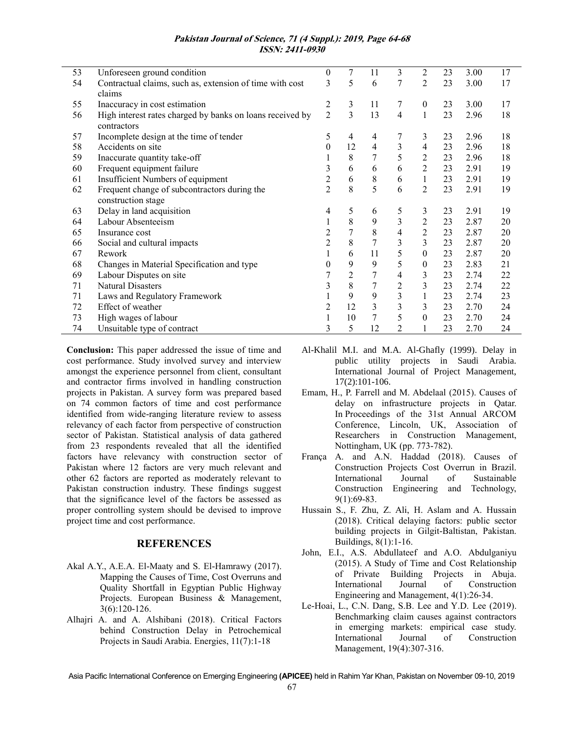#### **Pakistan Journal of Science, 71 (4 Suppl.): 2019, Page 64-68 ISSN: 2411-0930**

| 53 | Unforeseen ground condition                               | $\boldsymbol{0}$ | $\tau$ | 11             | $\overline{3}$ | 2                | 23 | 3.00 | 17 |
|----|-----------------------------------------------------------|------------------|--------|----------------|----------------|------------------|----|------|----|
| 54 | Contractual claims, such as, extension of time with cost  |                  | 5      | 6              | 7              | $\overline{c}$   | 23 | 3.00 | 17 |
|    | claims                                                    |                  |        |                |                |                  |    |      |    |
| 55 | Inaccuracy in cost estimation                             |                  | 3      | 11             | 7              | $\mathbf{0}$     | 23 | 3.00 | 17 |
| 56 | High interest rates charged by banks on loans received by |                  | 3      | 13             | $\overline{4}$ | 1                | 23 | 2.96 | 18 |
|    | contractors                                               |                  |        |                |                |                  |    |      |    |
| 57 | Incomplete design at the time of tender                   |                  | 4      | 4              | 7              | 3                | 23 | 2.96 | 18 |
| 58 | Accidents on site                                         |                  | 12     | $\overline{4}$ | 3              | 4                | 23 | 2.96 | 18 |
| 59 | Inaccurate quantity take-off                              |                  | 8      | 7              | 5              | 2                | 23 | 2.96 | 18 |
| 60 | Frequent equipment failure                                | 3                | 6      | 6              | 6              | $\overline{2}$   | 23 | 2.91 | 19 |
| 61 | Insufficient Numbers of equipment                         |                  | 6      | 8              | 6              |                  | 23 | 2.91 | 19 |
| 62 | Frequent change of subcontractors during the              |                  | 8      | 5              | 6              | $\overline{c}$   | 23 | 2.91 | 19 |
|    | construction stage                                        |                  |        |                |                |                  |    |      |    |
| 63 | Delay in land acquisition                                 | 4                | 5      | 6              | 5              | 3                | 23 | 2.91 | 19 |
| 64 | Labour Absenteeism                                        |                  | 8      | 9              | 3              | $\overline{c}$   | 23 | 2.87 | 20 |
| 65 | Insurance cost                                            |                  | $\tau$ | 8              | 4              | $\overline{2}$   | 23 | 2.87 | 20 |
| 66 | Social and cultural impacts                               | $\overline{2}$   | 8      | 7              | 3              | 3                | 23 | 2.87 | 20 |
| 67 | Rework                                                    |                  | 6      | 11             | 5              | $\boldsymbol{0}$ | 23 | 2.87 | 20 |
| 68 | Changes in Material Specification and type                | 0                | 9      | 9              | 5              | 0                | 23 | 2.83 | 21 |
| 69 | Labour Disputes on site                                   |                  | 2      | 7              | 4              | 3                | 23 | 2.74 | 22 |
| 71 | <b>Natural Disasters</b>                                  | 3                | 8      | 7              | 2              | 3                | 23 | 2.74 | 22 |
| 71 | Laws and Regulatory Framework                             |                  | 9      | 9              | 3              | 1                | 23 | 2.74 | 23 |
| 72 | Effect of weather                                         |                  | 12     | 3              | 3              | 3                | 23 | 2.70 | 24 |
| 73 | High wages of labour                                      |                  | 10     |                | 5              | $\theta$         | 23 | 2.70 | 24 |
| 74 | Unsuitable type of contract                               | 3                | 5      | 12             | 2              |                  | 23 | 2.70 | 24 |

**Conclusion:** This paper addressed the issue of time and cost performance. Study involved survey and interview amongst the experience personnel from client, consultant and contractor firms involved in handling construction projects in Pakistan. A survey form was prepared based on 74 common factors of time and cost performance identified from wide-ranging literature review to assess relevancy of each factor from perspective of construction sector of Pakistan. Statistical analysis of data gathered from 23 respondents revealed that all the identified factors have relevancy with construction sector of Pakistan where 12 factors are very much relevant and other 62 factors are reported as moderately relevant to Pakistan construction industry. These findings suggest that the significance level of the factors be assessed as proper controlling system should be devised to improve project time and cost performance.

## **REFERENCES**

- Akal A.Y., A.E.A. El-Maaty and S. El-Hamrawy (2017). Mapping the Causes of Time, Cost Overruns and Quality Shortfall in Egyptian Public Highway Projects. European Business & Management, 3(6):120-126.
- Alhajri A. and A. Alshibani (2018). Critical Factors behind Construction Delay in Petrochemical Projects in Saudi Arabia. Energies, 11(7):1-18
- Al-Khalil M.I. and M.A. Al-Ghafly (1999). Delay in public utility projects in Saudi Arabia. International Journal of Project Management, 17(2):101-106.
- Emam, H., P. Farrell and M. Abdelaal (2015). Causes of delay on infrastructure projects in Qatar. In Proceedings of the 31st Annual ARCOM Conference, Lincoln, UK, Association of Researchers in Construction Management, Nottingham, UK (pp. 773-782).
- França A. and A.N. Haddad (2018). Causes of Construction Projects Cost Overrun in Brazil. International Journal of Sustainable Construction Engineering and Technology, 9(1):69-83.
- Hussain S., F. Zhu, Z. Ali, H. Aslam and A. Hussain (2018). Critical delaying factors: public sector building projects in Gilgit-Baltistan, Pakistan. Buildings, 8(1):1-16.
- John, E.I., A.S. Abdullateef and A.O. Abdulganiyu (2015). A Study of Time and Cost Relationship of Private Building Projects in Abuja. International Journal of Construction Engineering and Management, 4(1):26-34.
- Le-Hoai, L., C.N. Dang, S.B. Lee and Y.D. Lee (2019). Benchmarking claim causes against contractors in emerging markets: empirical case study. International Journal of Construction Management, 19(4):307-316.

Asia Pacific International Conference on Emerging Engineering **(APICEE)** held in Rahim Yar Khan, Pakistan on November 09-10, 2019